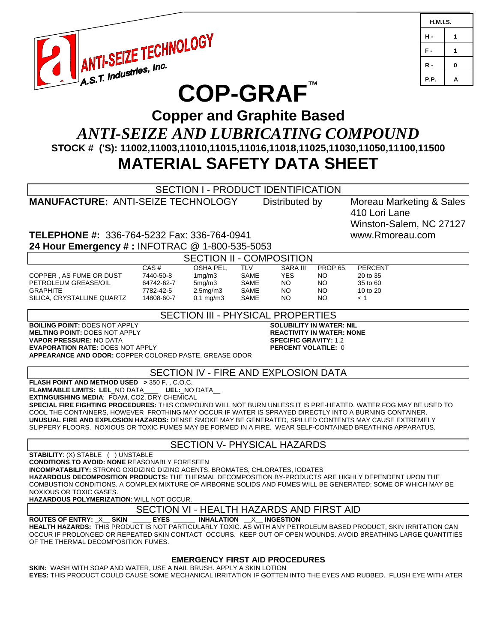

| <b>H.M.I.S.</b> |   |
|-----------------|---|
| н.              | 1 |
| F.              | 1 |
| R -             | 0 |
| P.P.            | A |

# **COP-GRAF™**

## **Copper and Graphite Based** *ANTI-SEIZE AND LUBRICATING COMPOUND* **STOCK # ('S): 11002,11003,11010,11015,11016,11018,11025,11030,11050,11100,11500 MATERIAL SAFETY DATA SHEET**

SECTION I - PRODUCT IDENTIFICATION **MANUFACTURE:** ANTI-SEIZE TECHNOLOGY Distributed by Moreau Marketing & Sales 410 Lori Lane Winston-Salem, NC 27127 **TELEPHONE #:** 336-764-5232 Fax: 336-764-0941 www.Rmoreau.com **24 Hour Emergency # :** INFOTRAC @ 1-800-535-5053 SECTION II - COMPOSITION CAS # OSHA PEL, TLV SARA III PROP 65, PERCENT COPPER , AS FUME OR DUST 7440-50-8 1mg/m3 SAME YES NO 20 to 35 PETROLEUM GREASE/OIL 64742-62-7 5mg/m3 SAME NO NO 35 to 60 GRAPHITE 7782-42-5 2.5mg/m3 SAME NO NO 10 to 20 SILICA, CRYSTALLINE QUARTZ 14808-60-7 0.1 mg/m3 SAME NO NO < 1 SECTION III - PHYSICAL PROPERTIES **BOILING POINT:** DOES NOT APPLY **SOLUBILITY IN WATER: NIL MELTING POINT: DOES NOT APPLY VAPOR PRESSURE:** NO DATA **SPECIFIC GRAVITY:** 1.2 **EVAPORATION RATE: DOES NOT APPLY APPEARANCE AND ODOR:** COPPER COLORED PASTE, GREASE ODOR SECTION IV - FIRE AND EXPLOSION DATA **FLASH POINT AND METHOD USED >** 350 F. , C.O.C. **FLAMMABLE LIMITS: LEL**\_NO DATA\_\_\_\_ **UEL:**\_NO DATA\_\_ **EXTINGUISHING MEDIA**: FOAM, CO2, DRY CHEMICAL **SPECIAL FIRE FIGHTING PROCEDURES:** THIS COMPOUND WILL NOT BURN UNLESS IT IS PRE-HEATED. WATER FOG MAY BE USED TO COOL THE CONTAINERS, HOWEVER FROTHING MAY OCCUR IF WATER IS SPRAYED DIRECTLY INTO A BURNING CONTAINER. **UNUSUAL FIRE AND EXPLOSION HAZARDS:** DENSE SMOKE MAY BE GENERATED, SPILLED CONTENTS MAY CAUSE EXTREMELY SLIPPERY FLOORS. NOXIOUS OR TOXIC FUMES MAY BE FORMED IN A FIRE. WEAR SELF-CONTAINED BREATHING APPARATUS. SECTION V- PHYSICAL HAZARDS **STABILITY**: (X) STABLE ( ) UNSTABLE **CONDITIONS TO AVOID: NONE** REASONABLY FORESEEN **INCOMPATABILITY:** STRONG OXIDIZING DIZING AGENTS, BROMATES, CHLORATES, IODATES **HAZARDOUS DECOMPOSITION PRODUCTS:** THE THERMAL DECOMPOSITION BY-PRODUCTS ARE HIGHLY DEPENDENT UPON THE COMBUSTION CONDITIONS. A COMPLEX MIXTURE OF AIRBORNE SOLIDS AND FUMES WILL BE GENERATED; SOME OF WHICH MAY BE NOXIOUS OR TOXIC GASES. **HAZARDOUS POLYMERIZATION**: WILL NOT OCCUR. SECTION VI - HEALTH HAZARDS AND FIRST AID<br>\_\_\_\_\_eyes \_\_\_\_\_\_\_ inhalation \_\_x\_\_\_ ingestion  $\overline{ROUTES OF ENTRY: _X\_ SKIN}$  \_\_\_\_\_\_ **EYES HEALTH HAZARDS:** THIS PRODUCT IS NOT PARTICULARLY TOXIC. AS WITH ANY PETROLEUM BASED PRODUCT, SKIN IRRITATION CAN OCCUR IF PROLONGED OR REPEATED SKIN CONTACT OCCURS. KEEP OUT OF OPEN WOUNDS. AVOID BREATHING LARGE QUANTITIES OF THE THERMAL DECOMPOSITION FUMES. **EMERGENCY FIRST AID PROCEDURES SKIN:** WASH WITH SOAP AND WATER, USE A NAIL BRUSH. APPLY A SKIN LOTION **EYES:** THIS PRODUCT COULD CAUSE SOME MECHANICAL IRRITATION IF GOTTEN INTO THE EYES AND RUBBED. FLUSH EYE WITH ATER